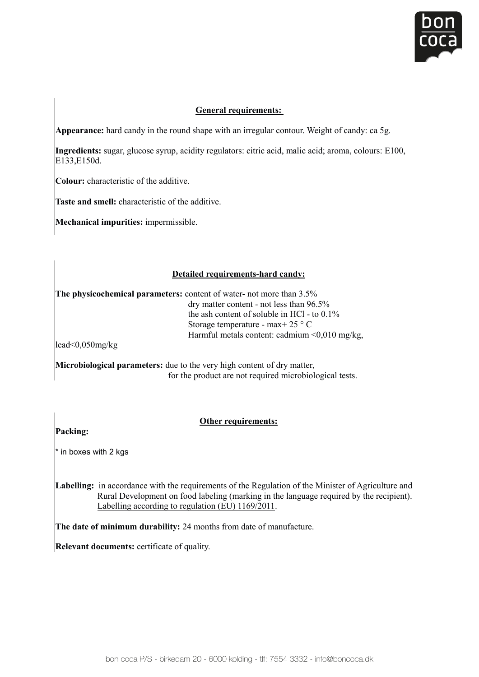

## **General requirements:**

Appearance: hard candy in the round shape with an irregular contour. Weight of candy: ca 5g.

Ingredients: sugar, glucose syrup, acidity regulators: citric acid, malic acid; aroma, colours: E100, E122 E1504 E133,E150d.

**Colour:** characteristic of the additive.

**Taste and smell:** characteristic of the additive. Lasic and so

**Mechanical impurities:** impermissible. **Colouristic of the additional characteristic or** 

#### **Detailed requirements-hard candy: Mechanical impurities:** impermissible.

The physicochemical parameters: content of water- not more than 3.5% **Strochemical parameters.** Content of water-hot more than 5.5%<br>dry matter content - not less than 96.5% the ash content of soluble in HCl - to  $0.1\%$ Storage temperature - max+ 25 ° C  $\frac{1}{25}$  CHIPCTER CONTROLLETED MARKET CONTROLLER THAN  $\frac{1}{25}$  C  $\frac{1}{2}$  and  $\frac{1}{2}$  and  $\frac{1}{2}$  and  $\frac{1}{2}$  of  $\frac{1}{2}$  .

lead<0,050mg/kg

for the product are not required microbiological tests. **Microbiological parameters:** due to the very high content of dry matter, lyncrobiological

### **Other requirements:**

Packing:

\* in boxes with 2 kgs **and in the language required by the recipient** by the recipient). The recipient of the recipient of the recipient of the recipient of the recipient of the recipient of the recipient of the recipient

Labelling: in accordance with the requirements of the Regulation of the Minister of Agriculture and Read Development on tood document (manufacture manufacture.html Rural Development on food labeling (marking in the language required by the recipient).

**The date of minimum durability:** 24 months from date of manufacture.

**Relevant documents:** certificate of quality.